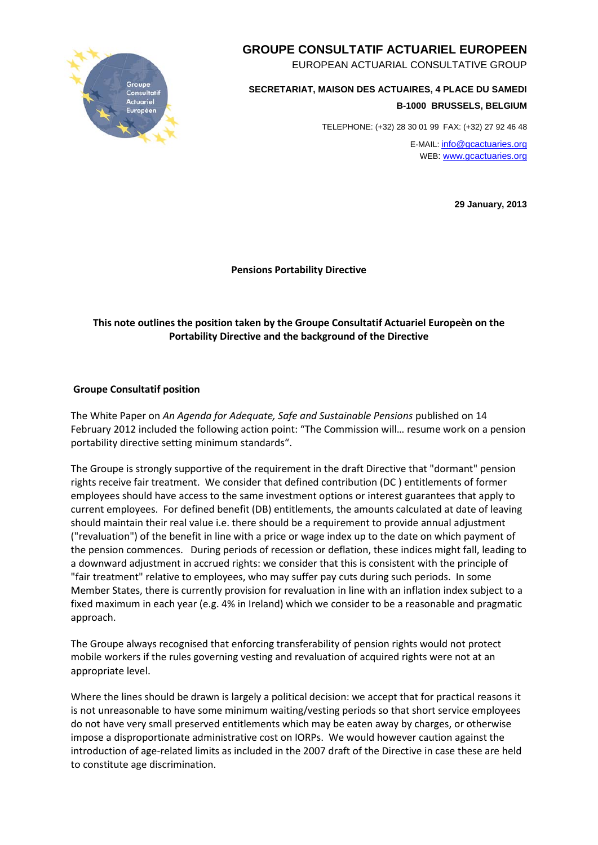

# **GROUPE CONSULTATIF ACTUARIEL EUROPEEN**

EUROPEAN ACTUARIAL CONSULTATIVE GROUP

**SECRETARIAT, MAISON DES ACTUAIRES, 4 PLACE DU SAMEDI B-1000 BRUSSELS, BELGIUM**

TELEPHONE: (+32) 28 30 01 99 FAX: (+32) 27 92 46 48

E-MAIL[: info@gcactuaries.org](mailto:info@gcactuaries.org) WEB: [www.gcactuaries.org](http://www.actuaries.org.uk/groupe_consultatif)

**29 January, 2013**

**Pensions Portability Directive**

## **This note outlines the position taken by the Groupe Consultatif Actuariel Europeèn on the Portability Directive and the background of the Directive**

#### **Groupe Consultatif position**

The White Paper on *An Agenda for Adequate, Safe and Sustainable Pensions* published on 14 February 2012 included the following action point: "The Commission will… resume work on a pension portability directive setting minimum standards".

The Groupe is strongly supportive of the requirement in the draft Directive that "dormant" pension rights receive fair treatment. We consider that defined contribution (DC ) entitlements of former employees should have access to the same investment options or interest guarantees that apply to current employees. For defined benefit (DB) entitlements, the amounts calculated at date of leaving should maintain their real value i.e. there should be a requirement to provide annual adjustment ("revaluation") of the benefit in line with a price or wage index up to the date on which payment of the pension commences. During periods of recession or deflation, these indices might fall, leading to a downward adjustment in accrued rights: we consider that this is consistent with the principle of "fair treatment" relative to employees, who may suffer pay cuts during such periods. In some Member States, there is currently provision for revaluation in line with an inflation index subject to a fixed maximum in each year (e.g. 4% in Ireland) which we consider to be a reasonable and pragmatic approach.

The Groupe always recognised that enforcing transferability of pension rights would not protect mobile workers if the rules governing vesting and revaluation of acquired rights were not at an appropriate level.

Where the lines should be drawn is largely a political decision: we accept that for practical reasons it is not unreasonable to have some minimum waiting/vesting periods so that short service employees do not have very small preserved entitlements which may be eaten away by charges, or otherwise impose a disproportionate administrative cost on IORPs. We would however caution against the introduction of age-related limits as included in the 2007 draft of the Directive in case these are held to constitute age discrimination.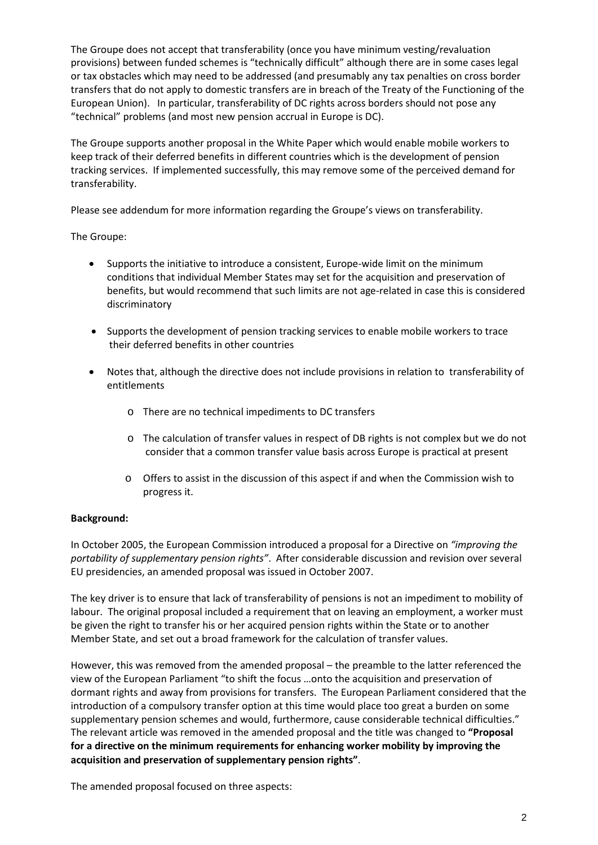The Groupe does not accept that transferability (once you have minimum vesting/revaluation provisions) between funded schemes is "technically difficult" although there are in some cases legal or tax obstacles which may need to be addressed (and presumably any tax penalties on cross border transfers that do not apply to domestic transfers are in breach of the Treaty of the Functioning of the European Union). In particular, transferability of DC rights across borders should not pose any "technical" problems (and most new pension accrual in Europe is DC).

The Groupe supports another proposal in the White Paper which would enable mobile workers to keep track of their deferred benefits in different countries which is the development of pension tracking services. If implemented successfully, this may remove some of the perceived demand for transferability.

Please see addendum for more information regarding the Groupe's views on transferability.

The Groupe:

- Supports the initiative to introduce a consistent, Europe-wide limit on the minimum conditions that individual Member States may set for the acquisition and preservation of benefits, but would recommend that such limits are not age-related in case this is considered discriminatory
- Supports the development of pension tracking services to enable mobile workers to trace their deferred benefits in other countries
- Notes that, although the directive does not include provisions in relation to transferability of entitlements
	- o There are no technical impediments to DC transfers
	- o The calculation of transfer values in respect of DB rights is not complex but we do not consider that a common transfer value basis across Europe is practical at present
	- o Offers to assist in the discussion of this aspect if and when the Commission wish to progress it.

#### **Background:**

In October 2005, the European Commission introduced a proposal for a Directive on *"improving the portability of supplementary pension rights"*. After considerable discussion and revision over several EU presidencies, an amended proposal was issued in October 2007.

The key driver is to ensure that lack of transferability of pensions is not an impediment to mobility of labour. The original proposal included a requirement that on leaving an employment, a worker must be given the right to transfer his or her acquired pension rights within the State or to another Member State, and set out a broad framework for the calculation of transfer values.

However, this was removed from the amended proposal – the preamble to the latter referenced the view of the European Parliament "to shift the focus …onto the acquisition and preservation of dormant rights and away from provisions for transfers. The European Parliament considered that the introduction of a compulsory transfer option at this time would place too great a burden on some supplementary pension schemes and would, furthermore, cause considerable technical difficulties." The relevant article was removed in the amended proposal and the title was changed to **"Proposal for a directive on the minimum requirements for enhancing worker mobility by improving the acquisition and preservation of supplementary pension rights"**.

The amended proposal focused on three aspects: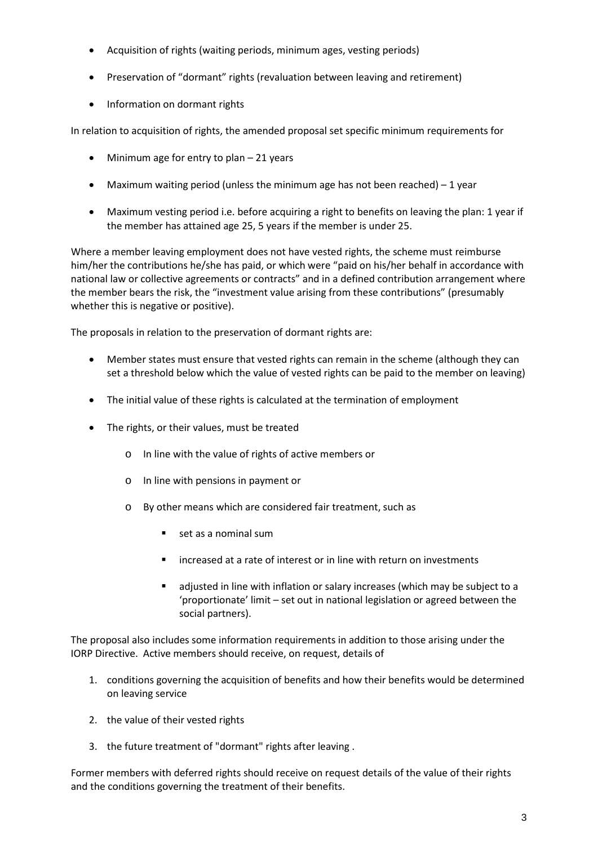- Acquisition of rights (waiting periods, minimum ages, vesting periods)
- Preservation of "dormant" rights (revaluation between leaving and retirement)
- Information on dormant rights

In relation to acquisition of rights, the amended proposal set specific minimum requirements for

- Minimum age for entry to plan 21 years
- Maximum waiting period (unless the minimum age has not been reached) 1 year
- Maximum vesting period i.e. before acquiring a right to benefits on leaving the plan: 1 year if the member has attained age 25, 5 years if the member is under 25.

Where a member leaving employment does not have vested rights, the scheme must reimburse him/her the contributions he/she has paid, or which were "paid on his/her behalf in accordance with national law or collective agreements or contracts" and in a defined contribution arrangement where the member bears the risk, the "investment value arising from these contributions" (presumably whether this is negative or positive).

The proposals in relation to the preservation of dormant rights are:

- Member states must ensure that vested rights can remain in the scheme (although they can set a threshold below which the value of vested rights can be paid to the member on leaving)
- The initial value of these rights is calculated at the termination of employment
- The rights, or their values, must be treated
	- o In line with the value of rights of active members or
	- o In line with pensions in payment or
	- o By other means which are considered fair treatment, such as
		- set as a nominal sum
		- **EXT** increased at a rate of interest or in line with return on investments
		- adjusted in line with inflation or salary increases (which may be subject to a 'proportionate' limit – set out in national legislation or agreed between the social partners).

The proposal also includes some information requirements in addition to those arising under the IORP Directive. Active members should receive, on request, details of

- 1. conditions governing the acquisition of benefits and how their benefits would be determined on leaving service
- 2. the value of their vested rights
- 3. the future treatment of "dormant" rights after leaving .

Former members with deferred rights should receive on request details of the value of their rights and the conditions governing the treatment of their benefits.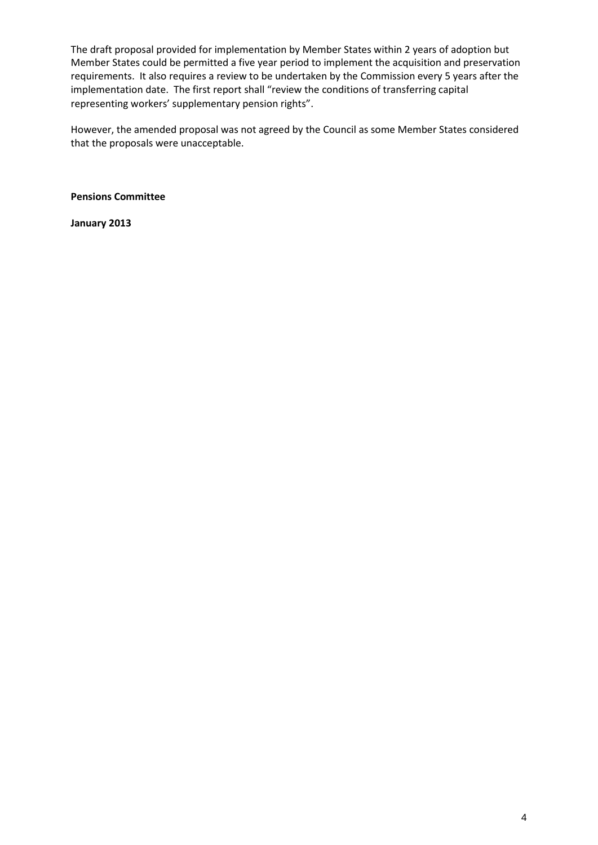The draft proposal provided for implementation by Member States within 2 years of adoption but Member States could be permitted a five year period to implement the acquisition and preservation requirements. It also requires a review to be undertaken by the Commission every 5 years after the implementation date. The first report shall "review the conditions of transferring capital representing workers' supplementary pension rights".

However, the amended proposal was not agreed by the Council as some Member States considered that the proposals were unacceptable.

**Pensions Committee**

**January 2013**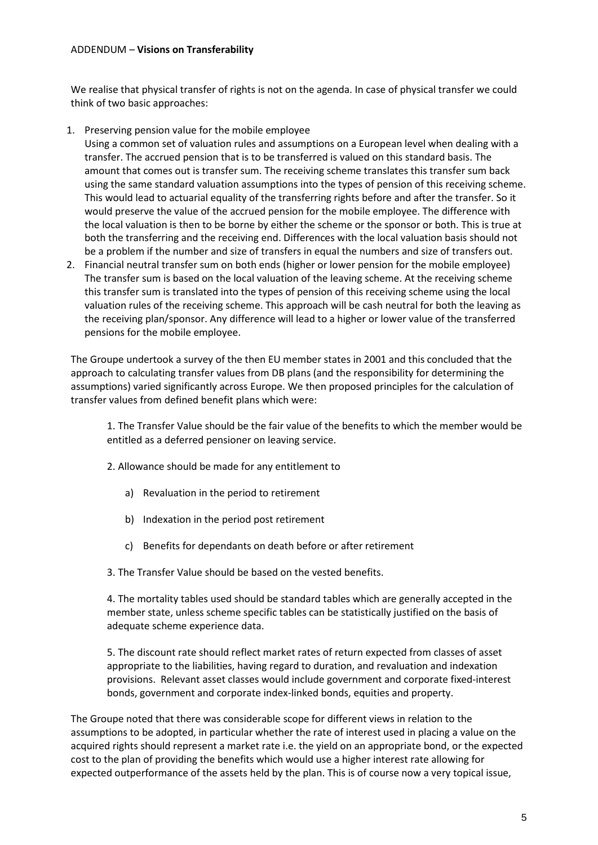### ADDENDUM – **Visions on Transferability**

We realise that physical transfer of rights is not on the agenda. In case of physical transfer we could think of two basic approaches:

1. Preserving pension value for the mobile employee

Using a common set of valuation rules and assumptions on a European level when dealing with a transfer. The accrued pension that is to be transferred is valued on this standard basis. The amount that comes out is transfer sum. The receiving scheme translates this transfer sum back using the same standard valuation assumptions into the types of pension of this receiving scheme. This would lead to actuarial equality of the transferring rights before and after the transfer. So it would preserve the value of the accrued pension for the mobile employee. The difference with the local valuation is then to be borne by either the scheme or the sponsor or both. This is true at both the transferring and the receiving end. Differences with the local valuation basis should not be a problem if the number and size of transfers in equal the numbers and size of transfers out.

2. Financial neutral transfer sum on both ends (higher or lower pension for the mobile employee) The transfer sum is based on the local valuation of the leaving scheme. At the receiving scheme this transfer sum is translated into the types of pension of this receiving scheme using the local valuation rules of the receiving scheme. This approach will be cash neutral for both the leaving as the receiving plan/sponsor. Any difference will lead to a higher or lower value of the transferred pensions for the mobile employee.

The Groupe undertook a survey of the then EU member states in 2001 and this concluded that the approach to calculating transfer values from DB plans (and the responsibility for determining the assumptions) varied significantly across Europe. We then proposed principles for the calculation of transfer values from defined benefit plans which were:

1. The Transfer Value should be the fair value of the benefits to which the member would be entitled as a deferred pensioner on leaving service.

2. Allowance should be made for any entitlement to

- a) Revaluation in the period to retirement
- b) Indexation in the period post retirement
- c) Benefits for dependants on death before or after retirement

3. The Transfer Value should be based on the vested benefits.

4. The mortality tables used should be standard tables which are generally accepted in the member state, unless scheme specific tables can be statistically justified on the basis of adequate scheme experience data.

5. The discount rate should reflect market rates of return expected from classes of asset appropriate to the liabilities, having regard to duration, and revaluation and indexation provisions. Relevant asset classes would include government and corporate fixed-interest bonds, government and corporate index-linked bonds, equities and property.

The Groupe noted that there was considerable scope for different views in relation to the assumptions to be adopted, in particular whether the rate of interest used in placing a value on the acquired rights should represent a market rate i.e. the yield on an appropriate bond, or the expected cost to the plan of providing the benefits which would use a higher interest rate allowing for expected outperformance of the assets held by the plan. This is of course now a very topical issue,